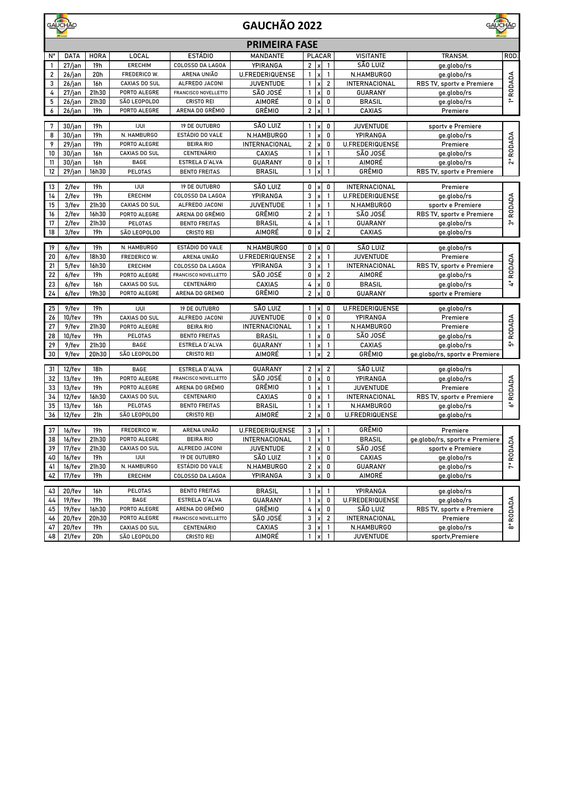|                         | GAUCHÃO           | <b>GAUCHÃO</b><br>GAUCHÃO 2022 |                      |                                           |                         |                         |                           |                         |                        |                                  |                         |
|-------------------------|-------------------|--------------------------------|----------------------|-------------------------------------------|-------------------------|-------------------------|---------------------------|-------------------------|------------------------|----------------------------------|-------------------------|
|                         |                   |                                |                      |                                           | <b>PRIMEIRA FASE</b>    |                         |                           |                         |                        |                                  |                         |
| N°                      | <b>DATA</b>       | <b>HORA</b>                    | LOCAL                | <b>ESTÁDIO</b>                            | <b>MANDANTE</b>         |                         |                           | <b>PLACAR</b>           | <b>VISITANTE</b>       | TRANSM.                          | ROD.                    |
| -1                      | 27/jan            | 19h                            | <b>ERECHIM</b>       | COLOSSO DA LAGOA                          | YPIRANGA                |                         | $2 \times$                | $\mathbf{1}$            | SÃO LUIZ               | ge.globo/rs                      |                         |
| $\overline{\mathbf{2}}$ | 26/jan            | 20h                            | FREDERICO W.         | ARENA UNIÃO                               | <b>U.FREDERIQUENSE</b>  | $\mathbf{1}$            | $\mathsf{x}$              | $\mathbf{1}$            | N.HAMBURGO             | ge.globo/rs                      |                         |
| 3                       | $26/$ jan         | 16h                            | <b>CAXIAS DO SUL</b> | ALFREDO JACONI                            | <b>JUVENTUDE</b>        | $\mathbf{1}$            |                           | $\overline{\mathbf{2}}$ | INTERNACIONAL          | RBS TV, sportv e Premiere        | 1ª RODADA               |
| 4                       | $27/$ jan         | 21h30                          | PORTO ALEGRE         | FRANCISCO NOVELLETTO                      | SÃO JOSÉ                | 1                       | х                         | 0                       | <b>GUARANY</b>         | ge.globo/rs                      |                         |
| 5                       | 26/jan            | 21h30                          | SÃO LEOPOLDO         | <b>CRISTO REI</b>                         | AIMORÉ                  | 0                       | $\boldsymbol{\mathsf{x}}$ | 0                       | <b>BRASIL</b>          | ge.globo/rs                      |                         |
| 6                       | $26/$ jan         | 19h                            | PORTO ALEGRE         | ARENA DO GRÊMIO                           | GRÊMIO                  | $\overline{\mathbf{2}}$ | $\boldsymbol{\mathsf{x}}$ | $\mathbf{1}$            | CAXIAS                 | Premiere                         |                         |
| 7                       | $30/$ jan         | 19h                            | <b>IJUI</b>          | 19 DE OUTUBRO                             | SÃO LUIZ                | $\mathbf{1}$            |                           | 0                       | <b>JUVENTUDE</b>       | sportv e Premiere                |                         |
| 8                       | $30/$ jan         | 19h                            | N. HAMBURGO          | ESTÁDIO DO VALE                           | N.HAMBURGO              | $\mathbf{1}$            | x                         | 0                       | YPIRANGA               | ge.globo/rs                      |                         |
| 9                       | 29/jan            | 19h                            | PORTO ALEGRE         | <b>BEIRA RIO</b>                          | INTERNACIONAL           | $\overline{\mathbf{c}}$ | $\mathsf{x}$              | 0                       | <b>U.FREDERIQUENSE</b> | Premiere                         | RODADA                  |
| 10                      | $30/$ jan         | 16h                            | CAXIAS DO SUL        | <b>CENTENÁRIO</b>                         | CAXIAS                  | 1                       | $\boldsymbol{\mathsf{x}}$ | $\mathbf{1}$            | SÃO JOSÉ               | ge.globo/rs                      |                         |
| 11                      | 30/jan            | 16h                            | <b>BAGE</b>          | ESTRELA D'ALVA                            | <b>GUARANY</b>          | 0                       |                           | $\mathbf{1}$            | AIMORÉ                 | ge.globo/rs                      | ผื                      |
| 12                      | $29/$ jan         | 16h30                          | PELOTAS              | <b>BENTO FREITAS</b>                      | <b>BRASIL</b>           | $\mathbf{1}$            |                           | $\mathbf{1}$            | GRÊMIO                 | RBS TV, sportv e Premiere        |                         |
| 13                      | $2$ /fev          |                                | <b>IJUI</b>          | 19 DE OUTUBRO                             | SÃO LUIZ                |                         | 0 x                       | 0                       | INTERNACIONAL          |                                  |                         |
| 14                      |                   | 19h<br>19h                     | <b>ERECHIM</b>       |                                           | YPIRANGA                | 3                       |                           | $\mathbf{1}$            | <b>U.FREDERIQUENSE</b> | Premiere                         |                         |
| 15                      | $2$ /fev<br>3/fev | 21h30                          | CAXIAS DO SUL        | COLOSSO DA LAGOA<br>ALFREDO JACONI        | <b>JUVENTUDE</b>        | $\mathbf{1}$            | $\boldsymbol{\mathsf{x}}$ | $\mathbf{1}$            | N.HAMBURGO             | ge.globo/rs<br>sportv e Premiere |                         |
| 16                      | 2/fev             | 16h30                          | PORTO ALEGRE         | ARENA DO GRÊMIO                           | GRÊMIO                  | $\overline{\mathbf{c}}$ |                           | 1                       | SÃO JOSÉ               |                                  | RODADA                  |
| 17                      |                   | 21h30                          | PELOTAS              |                                           |                         | 4                       |                           | 1                       |                        | RBS TV, sportv e Premiere        | ຶດ                      |
| 18                      | 2/fev<br>3/fev    | 19h                            | SÃO LEOPOLDO         | <b>BENTO FREITAS</b><br><b>CRISTO REI</b> | <b>BRASIL</b><br>AIMORÉ | 0                       |                           | $\overline{\mathbf{2}}$ | GUARANY<br>CAXIAS      | ge.globo/rs                      |                         |
|                         |                   |                                |                      |                                           |                         |                         |                           |                         |                        | ge.globo/rs                      |                         |
| 19                      | 6/fev             | 19h                            | N. HAMBURGO          | ESTÁDIO DO VALE                           | N.HAMBURGO              |                         | 0 x                       | 0                       | SÃO LUIZ               | ge.globo/rs                      |                         |
| 20                      | 6/fev             | 18h30                          | FREDERICO W.         | ARENA UNIÃO                               | <b>U.FREDERIQUENSE</b>  | $\overline{\mathbf{c}}$ |                           | $\mathbf{1}$            | <b>JUVENTUDE</b>       | Premiere                         |                         |
| 21                      | 5/fev             | 16h30                          | <b>ERECHIM</b>       | COLOSSO DA LAGOA                          | YPIRANGA                | 3                       |                           | 1                       | INTERNACIONAL          | RBS TV, sportv e Premiere        | RODADA                  |
| 22                      | 6/fev             | 19h                            | PORTO ALEGRE         | FRANCISCO NOVELLETTO                      | SÃO JOSÉ                | 0                       | X                         | $\overline{2}$          | AIMORÉ                 | ge.globo/rs                      |                         |
| 23                      | 6/fev             | 16h                            | CAXIAS DO SUL        | <b>CENTENÁRIO</b>                         | CAXIAS                  | 4                       | $\boldsymbol{\mathsf{x}}$ | 0                       | <b>BRASIL</b>          | ge.globo/rs                      | $\overline{4}$          |
| 24                      | 6/fev             | 19h30                          | PORTO ALEGRE         | ARENA DO GREMIO                           | GRÊMIO                  | $\overline{\mathbf{c}}$ | X                         | 0                       | <b>GUARANY</b>         | sportv e Premiere                |                         |
| 25                      | 9/fev             | 19h                            | <b>IJUI</b>          | 19 DE OUTUBRO                             | SÃO LUIZ                | 1                       |                           | 0                       | <b>U.FREDERIQUENSE</b> | ge.globo/rs                      |                         |
| 26                      | $10$ /fev         | 19h                            | CAXIAS DO SUL        | ALFREDO JACONI                            | <b>JUVENTUDE</b>        | 0                       | $\pmb{\times}$            | 0                       | YPIRANGA               | Premiere                         |                         |
| 27                      | 9/fev             | 21h30                          | PORTO ALEGRE         | <b>BEIRA RIO</b>                          | INTERNACIONAL           | $\mathbf{1}$            | $\pmb{\mathsf{x}}$        | $\mathbf{1}$            | N.HAMBURGO             | Premiere                         | RODADA                  |
| 28                      | $10$ /fev         | 19h                            | PELOTAS              | <b>BENTO FREITAS</b>                      | <b>BRASIL</b>           | 1                       | X                         | 0                       | SÃO JOSÉ               | ge.globo/rs                      |                         |
| 29                      | 9/fev             | 21h30                          | <b>BAGE</b>          | ESTRELA D'ALVA                            | <b>GUARANY</b>          | $\mathbf{1}$            |                           | $\mathbf{1}$            | CAXIAS                 | ge.globo/rs                      | ຶ້ດ                     |
| 30                      | 9/fev             | 20h30                          | SÃO LEOPOLDO         | <b>CRISTO REI</b>                         | AIMORÉ                  | $\mathbf{1}$            |                           | $\overline{\mathbf{c}}$ | GRÊMIO                 | ge.globo/rs, sportv e Premiere   |                         |
| 31                      | $12$ /fev         | 18h                            | BAGE                 | ESTRELA D'ALVA                            | <b>GUARANY</b>          |                         | $2 \times$                | $\overline{2}$          | SÃO LUIZ               | ge.globo/rs                      |                         |
| 32                      | $13$ /fev         | 19h                            | PORTO ALEGRE         | FRANCISCO NOVELLETTO                      | SÃO JOSÉ                | 0                       |                           | 0                       | YPIRANGA               | ge.globo/rs                      |                         |
| 33                      | $13$ /fev         | 19h                            | PORTO ALEGRE         | ARENA DO GRÊMIO                           | GRÊMIO                  | $\mathbf{1}$            | X                         | $\mathbf{1}$            | <b>JUVENTUDE</b>       | Premiere                         | RODADA                  |
| 34                      | 12/fev            | 16h30                          | CAXIAS DO SUL        | <b>CENTENARIO</b>                         | CAXIAS                  | 0                       |                           | 1                       | INTERNACIONAL          | RBS TV, sportv e Premiere        |                         |
| 35                      | $13$ /fev         | 16h                            | PELOTAS              | <b>BENTO FREITAS</b>                      | <b>BRASIL</b>           | 1                       | x                         | $\mathbf{1}$            | N.HAMBURGO             | ge.globo/rs                      | <b>ع</b>                |
| 36                      | $12$ /fev         | 21h                            | SÃO LEOPOLDO         | <b>CRISTO REI</b>                         | AIMORÉ                  | $\overline{\mathbf{c}}$ | X                         | 0                       | <b>U.FREDRIQUENSE</b>  | ge.globo/rs                      |                         |
|                         |                   |                                |                      |                                           |                         |                         |                           |                         |                        |                                  |                         |
| 37                      | $16$ /fev         | 19h                            | FREDERICO W.         | ARENA UNIÃO                               | <b>U.FREDERIQUENSE</b>  |                         | $3 \times$                | $\mathbf{1}$            | GRÊMIO                 | Premiere                         |                         |
| 38                      | $16$ /fev         | 21h30                          | PORTO ALEGRE         | BEIRA RIO                                 | INTERNACIONAL           | $\mathbf{1}$            | $\vert x \vert$           | $\mathbf{1}$            | <b>BRASIL</b>          | ge.globo/rs, sportv e Premiere   | ¥                       |
| 39                      | 17/fev            | 21h30                          | CAXIAS DO SUL        | ALFREDO JACONI                            | JUVENTUDE               |                         | $2 \times$                | 0                       | SÃO JOSÉ               | sportv e Premiere                | 7ª RODAD                |
| 40                      | $16$ /fev         | 19h                            | IJUI                 | 19 DE OUTUBRO                             | SÃO LUIZ                | 1                       | $\mathbf{x}$              | 0                       | CAXIAS                 | ge.globo/rs                      |                         |
| 41                      | $16$ /fev         | 21h30                          | N. HAMBURGO          | ESTÁDIO DO VALE                           | N.HAMBURGO              |                         | $2 \times$                | 0                       | GUARANY                | ge.globo/rs                      |                         |
| 42                      | 17/fev            | 19h                            | <b>ERECHIM</b>       | COLOSSO DA LAGOA                          | YPIRANGA                | 3                       |                           | 0                       | AIMORÉ                 | ge.globo/rs                      |                         |
| 43                      | 20/fev            | 16h                            | PELOTAS              | <b>BENTO FREITAS</b>                      | <b>BRASIL</b>           | 1                       | $\mathsf{I} \mathsf{x}$   | $\mathbf{1}$            | YPIRANGA               | ge.globo/rs                      |                         |
| 44                      | 19/fev            | 19h                            | BAGE                 | ESTRELA D'ALVA                            | GUARANY                 | 1                       | $\boldsymbol{\mathsf{x}}$ | 0                       | <b>U.FREDERIQUENSE</b> | ge.globo/rs                      |                         |
| 45                      | 19/fev            | 16h30                          | PORTO ALEGRE         | ARENA DO GRÊMIO                           | GRÊMIO                  | 4                       |                           | 0                       | SÃO LUIZ               | RBS TV, sportv e Premiere        | RODADA                  |
| 46                      | 20/fev            | 20h30                          | PORTO ALEGRE         | FRANCISCO NOVELLETTO                      | SÃO JOSÉ                | 3                       |                           | $\overline{2}$          | INTERNACIONAL          | Premiere                         |                         |
| 47                      | 20/fev            | 19h                            | CAXIAS DO SUL        | CENTENÁRIO                                | CAXIAS                  |                         | $3 \times$                | $\mathbf{1}$            | N.HAMBURGO             | ge.globo/rs                      | $\overline{\mathbf{a}}$ |
| 48                      | $21$ /fev         | 20h                            | SÃO LEOPOLDO         | <b>CRISTO REI</b>                         | AIMORÉ                  | $\mathbf{1}$            | $\vert x \vert$           | $\overline{1}$          | <b>JUVENTUDE</b>       | sportv, Premiere                 |                         |